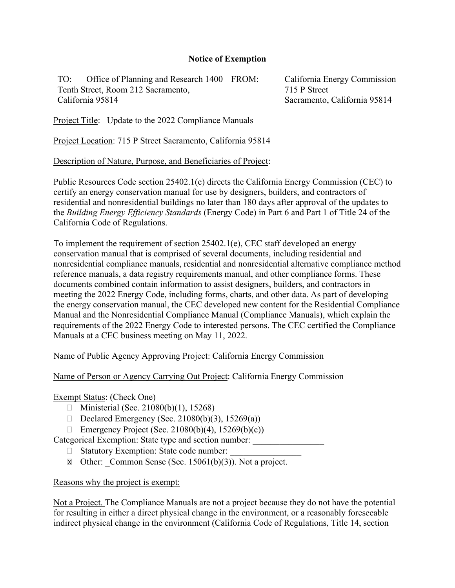## **Notice of Exemption**

TO: Office of Planning and Research 1400 FROM: Tenth Street, Room 212 Sacramento, California 95814

Project Title: Update to the 2022 Compliance Manuals

Project Location: 715 P Street Sacramento, California 95814

Description of Nature, Purpose, and Beneficiaries of Project:

Public Resources Code section 25402.1(e) directs the California Energy Commission (CEC) to certify an energy conservation manual for use by designers, builders, and contractors of residential and nonresidential buildings no later than 180 days after approval of the updates to the *Building Energy Efficiency Standards* (Energy Code) in Part 6 and Part 1 of Title 24 of the California Code of Regulations.

To implement the requirement of section 25402.1(e), CEC staff developed an energy conservation manual that is comprised of several documents, including residential and nonresidential compliance manuals, residential and nonresidential alternative compliance method reference manuals, a data registry requirements manual, and other compliance forms. These documents combined contain information to assist designers, builders, and contractors in meeting the 2022 Energy Code, including forms, charts, and other data. As part of developing the energy conservation manual, the CEC developed new content for the Residential Compliance Manual and the Nonresidential Compliance Manual (Compliance Manuals), which explain the requirements of the 2022 Energy Code to interested persons. The CEC certified the Compliance Manuals at a CEC business meeting on May 11, 2022.

Name of Public Agency Approving Project: California Energy Commission

Name of Person or Agency Carrying Out Project: California Energy Commission

Exempt Status: (Check One)

- $\Box$  Ministerial (Sec. 21080(b)(1), 15268)
- Declared Emergency (Sec. 21080(b)(3), 15269(a))
- Emergency Project (Sec. 21080(b)(4), 15269(b)(c))

Categorical Exemption: State type and section number:

- $\Box$  Statutory Exemption: State code number:
- ⊠ Other: <u>Common Sense (Sec. 15061(b)(3))</u>. Not a project.

Reasons why the project is exempt:

Not a Project. The Compliance Manuals are not a project because they do not have the potential for resulting in either a direct physical change in the environment, or a reasonably foreseeable indirect physical change in the environment (California Code of Regulations, Title 14, section

California Energy Commission 715 P Street Sacramento, California 95814